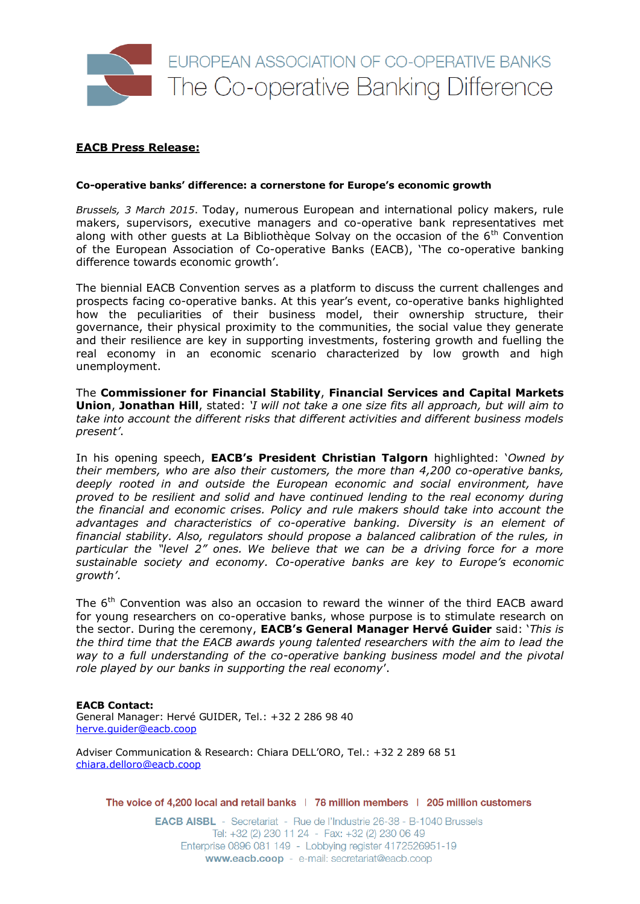

## **EACB Press Release:**

## **Co-operative banks' difference: a cornerstone for Europe's economic growth**

*Brussels, 3 March 2015*. Today, numerous European and international policy makers, rule makers, supervisors, executive managers and co-operative bank representatives met along with other guests at La Bibliothèque Solvay on the occasion of the  $6<sup>th</sup>$  Convention of the European Association of Co-operative Banks (EACB), 'The co-operative banking difference towards economic growth'.

The biennial EACB Convention serves as a platform to discuss the current challenges and prospects facing co-operative banks. At this year's event, co-operative banks highlighted how the peculiarities of their business model, their ownership structure, their governance, their physical proximity to the communities, the social value they generate and their resilience are key in supporting investments, fostering growth and fuelling the real economy in an economic scenario characterized by low growth and high unemployment.

The **Commissioner for Financial Stability**, **Financial Services and Capital Markets Union**, **Jonathan Hill**, stated: *'I will not take a one size fits all approach, but will aim to take into account the different risks that different activities and different business models present'*.

In his opening speech, **EACB's President Christian Talgorn** highlighted: '*Owned by their members, who are also their customers, the more than 4,200 co-operative banks, deeply rooted in and outside the European economic and social environment, have proved to be resilient and solid and have continued lending to the real economy during the financial and economic crises. Policy and rule makers should take into account the advantages and characteristics of co-operative banking. Diversity is an element of financial stability. Also, regulators should propose a balanced calibration of the rules, in particular the "level 2" ones. We believe that we can be a driving force for a more sustainable society and economy. Co-operative banks are key to Europe's economic growth'*.

The 6<sup>th</sup> Convention was also an occasion to reward the winner of the third EACB award for young researchers on co-operative banks, whose purpose is to stimulate research on the sector. During the ceremony, **EACB's General Manager Hervé Guider** said: '*This is the third time that the EACB awards young talented researchers with the aim to lead the way to a full understanding of the co-operative banking business model and the pivotal role played by our banks in supporting the real economy*'.

## **EACB Contact:**

General Manager: Hervé GUIDER, Tel.: +32 2 286 98 40 [herve.guider@eacb.coop](mailto:h.guider@eacb.coop)

Adviser Communication & Research: Chiara DELL'ORO, Tel.: +32 2 289 68 51 [chiara.delloro@eacb.coop](mailto:chiara.delloro@eacb.coop)

The voice of 4,200 local and retail banks | 78 million members | 205 million customers

**EACB AISBL** - Secretariat - Rue de l'Industrie 26-38 - B-1040 Brussels Tel: +32 (2) 230 11 24 - Fax: +32 (2) 230 06 49 Enterprise 0896 081 149 - Lobbying register 4172526951-19 www.eacb.coop - e-mail: secretariat@eacb.coop